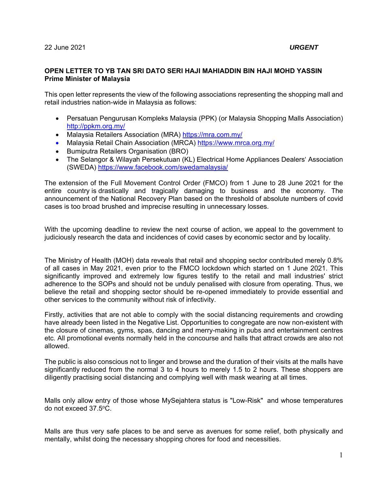## **OPEN LETTER TO YB TAN SRI DATO SERI HAJI MAHIADDIN BIN HAJI MOHD YASSIN Prime Minister of Malaysia**

This open letter represents the view of the following associations representing the shopping mall and retail industries nation-wide in Malaysia as follows:

- Persatuan Pengurusan Kompleks Malaysia (PPK) (or Malaysia Shopping Malls Association) http://ppkm.org.my/
- Malaysia Retailers Association (MRA) https://mra.com.my/
- Malaysia Retail Chain Association (MRCA) https://www.mrca.org.my/
- **•** Bumiputra Retailers Organisation (BRO)
- The Selangor & Wilayah Persekutuan (KL) Electrical Home Appliances Dealers' Association (SWEDA) https://www.facebook.com/swedamalaysia/

The extension of the Full Movement Control Order (FMCO) from 1 June to 28 June 2021 for the entire country is drastically and tragically damaging to business and the economy. The announcement of the National Recovery Plan based on the threshold of absolute numbers of covid cases is too broad brushed and imprecise resulting in unnecessary losses.

With the upcoming deadline to review the next course of action, we appeal to the government to judiciously research the data and incidences of covid cases by economic sector and by locality.

The Ministry of Health (MOH) data reveals that retail and shopping sector contributed merely 0.8% of all cases in May 2021, even prior to the FMCO lockdown which started on 1 June 2021. This significantly improved and extremely low figures testify to the retail and mall industries' strict adherence to the SOPs and should not be unduly penalised with closure from operating. Thus, we believe the retail and shopping sector should be re-opened immediately to provide essential and other services to the community without risk of infectivity.

Firstly, activities that are not able to comply with the social distancing requirements and crowding have already been listed in the Negative List. Opportunities to congregate are now non-existent with the closure of cinemas, gyms, spas, dancing and merry-making in pubs and entertainment centres etc. All promotional events normally held in the concourse and halls that attract crowds are also not allowed.

The public is also conscious not to linger and browse and the duration of their visits at the malls have significantly reduced from the normal 3 to 4 hours to merely 1.5 to 2 hours. These shoppers are diligently practising social distancing and complying well with mask wearing at all times.

Malls only allow entry of those whose MySejahtera status is "Low-Risk" and whose temperatures do not exceed 37.5oC.

Malls are thus very safe places to be and serve as avenues for some relief, both physically and mentally, whilst doing the necessary shopping chores for food and necessities.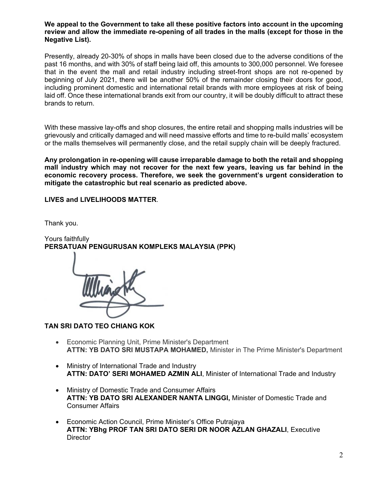**We appeal to the Government to take all these positive factors into account in the upcoming review and allow the immediate re-opening of all trades in the malls (except for those in the Negative List).** 

Presently, already 20-30% of shops in malls have been closed due to the adverse conditions of the past 16 months, and with 30% of staff being laid off, this amounts to 300,000 personnel. We foresee that in the event the mall and retail industry including street-front shops are not re-opened by beginning of July 2021, there will be another 50% of the remainder closing their doors for good, including prominent domestic and international retail brands with more employees at risk of being laid off. Once these international brands exit from our country, it will be doubly difficult to attract these brands to return.

With these massive lay-offs and shop closures, the entire retail and shopping malls industries will be grievously and critically damaged and will need massive efforts and time to re-build malls' ecosystem or the malls themselves will permanently close, and the retail supply chain will be deeply fractured.

**Any prolongation in re-opening will cause irreparable damage to both the retail and shopping mall industry which may not recover for the next few years, leaving us far behind in the economic recovery process. Therefore, we seek the government's urgent consideration to mitigate the catastrophic but real scenario as predicted above.**

**LIVES and LIVELIHOODS MATTER**.

Thank you.

Yours faithfully **PERSATUAN PENGURUSAN KOMPLEKS MALAYSIA (PPK)** 

**TAN SRI DATO TEO CHIANG KOK** 

- Economic Planning Unit, Prime Minister's Department **ATTN: YB DATO SRI MUSTAPA MOHAMED,** Minister in The Prime Minister's Department
- Ministry of International Trade and Industry **ATTN: DATO' SERI MOHAMED AZMIN ALI**, Minister of International Trade and Industry
- Ministry of Domestic Trade and Consumer Affairs **ATTN: YB DATO SRI ALEXANDER NANTA LINGGI,** Minister of Domestic Trade and Consumer Affairs
- Economic Action Council, Prime Minister's Office Putrajaya **ATTN: YBhg PROF TAN SRI DATO SERI DR NOOR AZLAN GHAZALI**, Executive **Director**